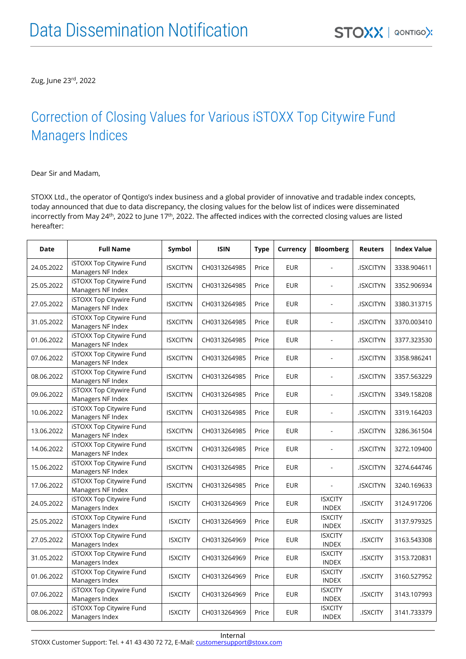Zug, June 23rd , 2022

## Correction of Closing Values for Various iSTOXX Top Citywire Fund Managers Indices

## Dear Sir and Madam,

STOXX Ltd., the operator of Qontigo's index business and a global provider of innovative and tradable index concepts, today announced that due to data discrepancy, the closing values for the below list of indices were disseminated incorrectly from May 24<sup>th</sup>, 2022 to June 17<sup>th</sup>, 2022. The affected indices with the corrected closing values are listed hereafter:

| Date       | <b>Full Name</b>                              | Symbol          | <b>ISIN</b>  | <b>Type</b> | Currency   | <b>Bloomberg</b>               | <b>Reuters</b>  | <b>Index Value</b> |
|------------|-----------------------------------------------|-----------------|--------------|-------------|------------|--------------------------------|-----------------|--------------------|
| 24.05.2022 | iSTOXX Top Citywire Fund<br>Managers NF Index | <b>ISXCITYN</b> | CH0313264985 | Price       | <b>EUR</b> |                                | .ISXCITYN       | 3338.904611        |
| 25.05.2022 | iSTOXX Top Citywire Fund<br>Managers NF Index | <b>ISXCITYN</b> | CH0313264985 | Price       | <b>EUR</b> |                                | <b>ISXCITYN</b> | 3352.906934        |
| 27.05.2022 | iSTOXX Top Citywire Fund<br>Managers NF Index | <b>ISXCITYN</b> | CH0313264985 | Price       | <b>EUR</b> |                                | .ISXCITYN       | 3380.313715        |
| 31.05.2022 | iSTOXX Top Citywire Fund<br>Managers NF Index | <b>ISXCITYN</b> | CH0313264985 | Price       | <b>EUR</b> |                                | .ISXCITYN       | 3370.003410        |
| 01.06.2022 | iSTOXX Top Citywire Fund<br>Managers NF Index | <b>ISXCITYN</b> | CH0313264985 | Price       | <b>EUR</b> |                                | <b>ISXCITYN</b> | 3377.323530        |
| 07.06.2022 | iSTOXX Top Citywire Fund<br>Managers NF Index | <b>ISXCITYN</b> | CH0313264985 | Price       | <b>EUR</b> |                                | <b>ISXCITYN</b> | 3358.986241        |
| 08.06.2022 | iSTOXX Top Citywire Fund<br>Managers NF Index | <b>ISXCITYN</b> | CH0313264985 | Price       | <b>EUR</b> |                                | <b>ISXCITYN</b> | 3357.563229        |
| 09.06.2022 | iSTOXX Top Citywire Fund<br>Managers NF Index | <b>ISXCITYN</b> | CH0313264985 | Price       | <b>EUR</b> |                                | <b>ISXCITYN</b> | 3349.158208        |
| 10.06.2022 | iSTOXX Top Citywire Fund<br>Managers NF Index | <b>ISXCITYN</b> | CH0313264985 | Price       | <b>EUR</b> |                                | .ISXCITYN       | 3319.164203        |
| 13.06.2022 | iSTOXX Top Citywire Fund<br>Managers NF Index | <b>ISXCITYN</b> | CH0313264985 | Price       | <b>EUR</b> |                                | <b>ISXCITYN</b> | 3286.361504        |
| 14.06.2022 | iSTOXX Top Citywire Fund<br>Managers NF Index | <b>ISXCITYN</b> | CH0313264985 | Price       | <b>EUR</b> |                                | <b>ISXCITYN</b> | 3272.109400        |
| 15.06.2022 | iSTOXX Top Citywire Fund<br>Managers NF Index | <b>ISXCITYN</b> | CH0313264985 | Price       | <b>EUR</b> |                                | <b>ISXCITYN</b> | 3274.644746        |
| 17.06.2022 | iSTOXX Top Citywire Fund<br>Managers NF Index | <b>ISXCITYN</b> | CH0313264985 | Price       | <b>EUR</b> | ÷.                             | <b>ISXCITYN</b> | 3240.169633        |
| 24.05.2022 | iSTOXX Top Citywire Fund<br>Managers Index    | <b>ISXCITY</b>  | CH0313264969 | Price       | <b>EUR</b> | <b>ISXCITY</b><br><b>INDEX</b> | <b>ISXCITY</b>  | 3124.917206        |
| 25.05.2022 | iSTOXX Top Citywire Fund<br>Managers Index    | <b>ISXCITY</b>  | CH0313264969 | Price       | <b>EUR</b> | <b>ISXCITY</b><br><b>INDEX</b> | <b>ISXCITY</b>  | 3137.979325        |
| 27.05.2022 | iSTOXX Top Citywire Fund<br>Managers Index    | <b>ISXCITY</b>  | CH0313264969 | Price       | <b>EUR</b> | <b>ISXCITY</b><br><b>INDEX</b> | <b>ISXCITY</b>  | 3163.543308        |
| 31.05.2022 | iSTOXX Top Citywire Fund<br>Managers Index    | <b>ISXCITY</b>  | CH0313264969 | Price       | <b>EUR</b> | <b>ISXCITY</b><br><b>INDEX</b> | <b>ISXCITY</b>  | 3153.720831        |
| 01.06.2022 | iSTOXX Top Citywire Fund<br>Managers Index    | <b>ISXCITY</b>  | CH0313264969 | Price       | <b>EUR</b> | <b>ISXCITY</b><br><b>INDEX</b> | <b>ISXCITY</b>  | 3160.527952        |
| 07.06.2022 | iSTOXX Top Citywire Fund<br>Managers Index    | <b>ISXCITY</b>  | CH0313264969 | Price       | <b>EUR</b> | <b>ISXCITY</b><br><b>INDEX</b> | <b>ISXCITY</b>  | 3143.107993        |
| 08.06.2022 | iSTOXX Top Citywire Fund<br>Managers Index    | <b>ISXCITY</b>  | CH0313264969 | Price       | <b>EUR</b> | <b>ISXCITY</b><br><b>INDEX</b> | <b>ISXCITY</b>  | 3141.733379        |